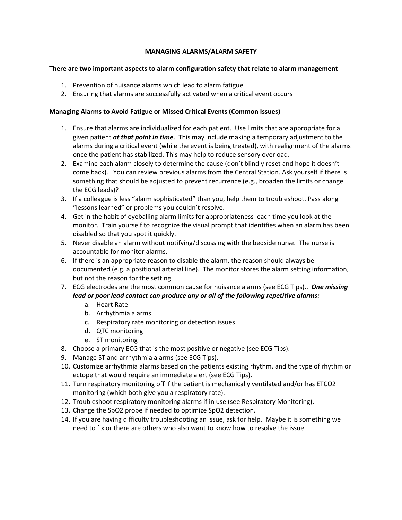## **MANAGING ALARMS/ALARM SAFETY**

## T**here are two important aspects to alarm configuration safety that relate to alarm management**

- 1. Prevention of nuisance alarms which lead to alarm fatigue
- 2. Ensuring that alarms are successfully activated when a critical event occurs

## **Managing Alarms to Avoid Fatigue or Missed Critical Events (Common Issues)**

- 1. Ensure that alarms are individualized for each patient. Use limits that are appropriate for a given patient *at that point in time*. This may include making a temporary adjustment to the alarms during a critical event (while the event is being treated), with realignment of the alarms once the patient has stabilized. This may help to reduce sensory overload.
- 2. Examine each alarm closely to determine the cause (don't blindly reset and hope it doesn't come back). You can review previous alarms from the Central Station. Ask yourself if there is something that should be adjusted to prevent recurrence (e.g., broaden the limits or change the ECG leads)?
- 3. If a colleague is less "alarm sophisticated" than you, help them to troubleshoot. Pass along "lessons learned" or problems you couldn't resolve.
- 4. Get in the habit of eyeballing alarm limits for appropriateness each time you look at the monitor. Train yourself to recognize the visual prompt that identifies when an alarm has been disabled so that you spot it quickly.
- 5. Never disable an alarm without notifying/discussing with the bedside nurse. The nurse is accountable for monitor alarms.
- 6. If there is an appropriate reason to disable the alarm, the reason should always be documented (e.g. a positional arterial line). The monitor stores the alarm setting information, but not the reason for the setting.
- 7. ECG electrodes are the most common cause for nuisance alarms (see ECG Tips).. *One missing lead or poor lead contact can produce any or all of the following repetitive alarms:*
	- a. Heart Rate
	- b. Arrhythmia alarms
	- c. Respiratory rate monitoring or detection issues
	- d. QTC monitoring
	- e. ST monitoring
- 8. Choose a primary ECG that is the most positive or negative (see ECG Tips).
- 9. Manage ST and arrhythmia alarms (see ECG Tips).
- 10. Customize arrhythmia alarms based on the patients existing rhythm, and the type of rhythm or ectope that would require an immediate alert (see ECG Tips).
- 11. Turn respiratory monitoring off if the patient is mechanically ventilated and/or has ETCO2 monitoring (which both give you a respiratory rate).
- 12. Troubleshoot respiratory monitoring alarms if in use (see Respiratory Monitoring).
- 13. Change the SpO2 probe if needed to optimize SpO2 detection.
- 14. If you are having difficulty troubleshooting an issue, ask for help. Maybe it is something we need to fix or there are others who also want to know how to resolve the issue.